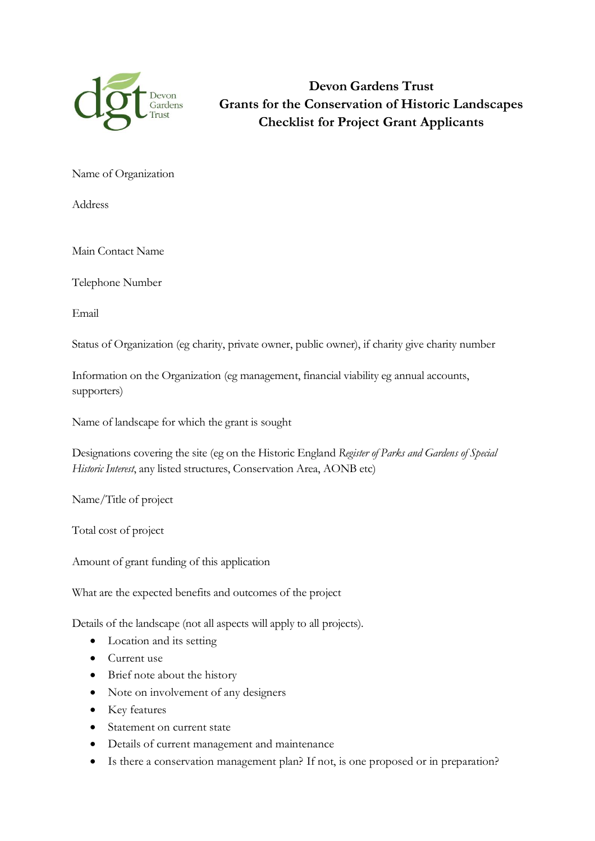

**Devon Gardens Trust Grants for the Conservation of Historic Landscapes Checklist for Project Grant Applicants**

Name of Organization

Address

Main Contact Name

Telephone Number

Email

Status of Organization (eg charity, private owner, public owner), if charity give charity number

Information on the Organization (eg management, financial viability eg annual accounts, supporters)

Name of landscape for which the grant is sought

Designations covering the site (eg on the Historic England *Register of Parks and Gardens of Special Historic Interest*, any listed structures, Conservation Area, AONB etc)

Name/Title of project

Total cost of project

Amount of grant funding of this application

What are the expected benefits and outcomes of the project

Details of the landscape (not all aspects will apply to all projects).

- Location and its setting
- Current use
- Brief note about the history
- Note on involvement of any designers
- Key features
- Statement on current state
- Details of current management and maintenance
- Is there a conservation management plan? If not, is one proposed or in preparation?